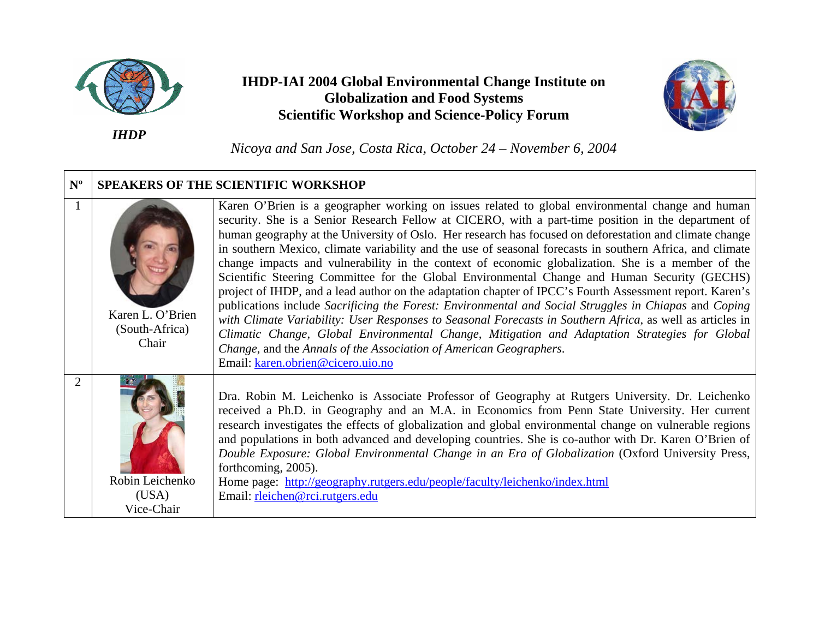

**IHDP-IAI 2004 Global Environmental Change Institute on Globalization and Food Systems Scientific Workshop and Science-Policy Forum** 



*Nicoya and San Jose, Costa Rica, October 24 – November 6, 2004*

| $N^{\rm o}$ | <b>SPEAKERS OF THE SCIENTIFIC WORKSHOP</b>  |                                                                                                                                                                                                                                                                                                                                                                                                                                                                                                                                                                                                                                                                                                                                                                                                                                                                                                                                                                                                                                                                                                                                                                                    |  |
|-------------|---------------------------------------------|------------------------------------------------------------------------------------------------------------------------------------------------------------------------------------------------------------------------------------------------------------------------------------------------------------------------------------------------------------------------------------------------------------------------------------------------------------------------------------------------------------------------------------------------------------------------------------------------------------------------------------------------------------------------------------------------------------------------------------------------------------------------------------------------------------------------------------------------------------------------------------------------------------------------------------------------------------------------------------------------------------------------------------------------------------------------------------------------------------------------------------------------------------------------------------|--|
|             | Karen L. O'Brien<br>(South-Africa)<br>Chair | Karen O'Brien is a geographer working on issues related to global environmental change and human<br>security. She is a Senior Research Fellow at CICERO, with a part-time position in the department of<br>human geography at the University of Oslo. Her research has focused on deforestation and climate change<br>in southern Mexico, climate variability and the use of seasonal forecasts in southern Africa, and climate<br>change impacts and vulnerability in the context of economic globalization. She is a member of the<br>Scientific Steering Committee for the Global Environmental Change and Human Security (GECHS)<br>project of IHDP, and a lead author on the adaptation chapter of IPCC's Fourth Assessment report. Karen's<br>publications include Sacrificing the Forest: Environmental and Social Struggles in Chiapas and Coping<br>with Climate Variability: User Responses to Seasonal Forecasts in Southern Africa, as well as articles in<br>Climatic Change, Global Environmental Change, Mitigation and Adaptation Strategies for Global<br>Change, and the Annals of the Association of American Geographers.<br>Email: karen.obrien@cicero.uio.no |  |
|             | Robin Leichenko<br>(USA)<br>Vice-Chair      | Dra. Robin M. Leichenko is Associate Professor of Geography at Rutgers University. Dr. Leichenko<br>received a Ph.D. in Geography and an M.A. in Economics from Penn State University. Her current<br>research investigates the effects of globalization and global environmental change on vulnerable regions<br>and populations in both advanced and developing countries. She is co-author with Dr. Karen O'Brien of<br>Double Exposure: Global Environmental Change in an Era of Globalization (Oxford University Press,<br>forthcoming, 2005).<br>Home page: http://geography.rutgers.edu/people/faculty/leichenko/index.html<br>Email: rleichen@rci.rutgers.edu                                                                                                                                                                                                                                                                                                                                                                                                                                                                                                              |  |

*IHDP*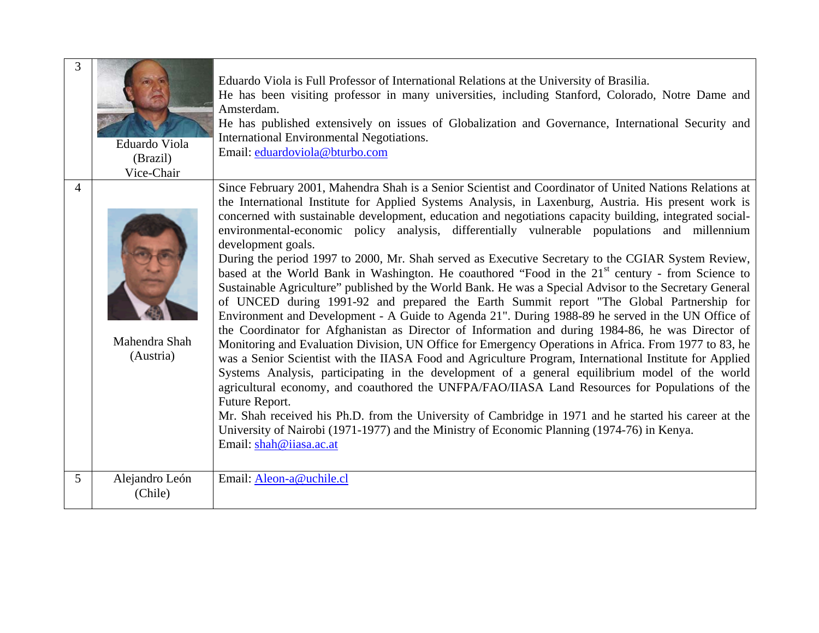| 3 | Eduardo Viola<br>(Brazil)<br>Vice-Chair | Eduardo Viola is Full Professor of International Relations at the University of Brasilia.<br>He has been visiting professor in many universities, including Stanford, Colorado, Notre Dame and<br>Amsterdam.<br>He has published extensively on issues of Globalization and Governance, International Security and<br>International Environmental Negotiations.<br>Email: eduardoviola@bturbo.com                                                                                                                                                                                                                                                                                                                                                                                                                                                                                                                                                                                                                                                                                                                                                                                                                                                                                                                                                                                                                                                                                                                                                                                                                                                                                                                                                                     |
|---|-----------------------------------------|-----------------------------------------------------------------------------------------------------------------------------------------------------------------------------------------------------------------------------------------------------------------------------------------------------------------------------------------------------------------------------------------------------------------------------------------------------------------------------------------------------------------------------------------------------------------------------------------------------------------------------------------------------------------------------------------------------------------------------------------------------------------------------------------------------------------------------------------------------------------------------------------------------------------------------------------------------------------------------------------------------------------------------------------------------------------------------------------------------------------------------------------------------------------------------------------------------------------------------------------------------------------------------------------------------------------------------------------------------------------------------------------------------------------------------------------------------------------------------------------------------------------------------------------------------------------------------------------------------------------------------------------------------------------------------------------------------------------------------------------------------------------------|
| 4 | Mahendra Shah<br>(Austria)              | Since February 2001, Mahendra Shah is a Senior Scientist and Coordinator of United Nations Relations at<br>the International Institute for Applied Systems Analysis, in Laxenburg, Austria. His present work is<br>concerned with sustainable development, education and negotiations capacity building, integrated social-<br>environmental-economic policy analysis, differentially vulnerable populations and millennium<br>development goals.<br>During the period 1997 to 2000, Mr. Shah served as Executive Secretary to the CGIAR System Review,<br>based at the World Bank in Washington. He coauthored "Food in the 21 <sup>st</sup> century - from Science to<br>Sustainable Agriculture" published by the World Bank. He was a Special Advisor to the Secretary General<br>of UNCED during 1991-92 and prepared the Earth Summit report "The Global Partnership for<br>Environment and Development - A Guide to Agenda 21". During 1988-89 he served in the UN Office of<br>the Coordinator for Afghanistan as Director of Information and during 1984-86, he was Director of<br>Monitoring and Evaluation Division, UN Office for Emergency Operations in Africa. From 1977 to 83, he<br>was a Senior Scientist with the IIASA Food and Agriculture Program, International Institute for Applied<br>Systems Analysis, participating in the development of a general equilibrium model of the world<br>agricultural economy, and coauthored the UNFPA/FAO/IIASA Land Resources for Populations of the<br>Future Report.<br>Mr. Shah received his Ph.D. from the University of Cambridge in 1971 and he started his career at the<br>University of Nairobi (1971-1977) and the Ministry of Economic Planning (1974-76) in Kenya.<br>Email: shah@iiasa.ac.at |
| 5 | Alejandro León<br>(Chile)               | Email: Aleon-a@uchile.cl                                                                                                                                                                                                                                                                                                                                                                                                                                                                                                                                                                                                                                                                                                                                                                                                                                                                                                                                                                                                                                                                                                                                                                                                                                                                                                                                                                                                                                                                                                                                                                                                                                                                                                                                              |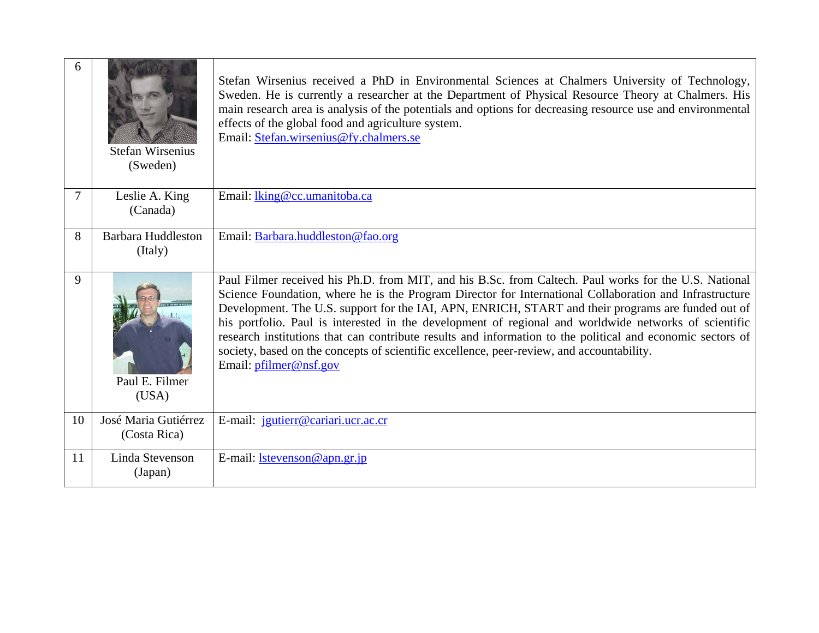| 6  | <b>Stefan Wirsenius</b><br>(Sweden)  | Stefan Wirsenius received a PhD in Environmental Sciences at Chalmers University of Technology,<br>Sweden. He is currently a researcher at the Department of Physical Resource Theory at Chalmers. His<br>main research area is analysis of the potentials and options for decreasing resource use and environmental<br>effects of the global food and agriculture system.<br>Email: Stefan.wirsenius@fy.chalmers.se                                                                                                                                                                                                                                                 |
|----|--------------------------------------|----------------------------------------------------------------------------------------------------------------------------------------------------------------------------------------------------------------------------------------------------------------------------------------------------------------------------------------------------------------------------------------------------------------------------------------------------------------------------------------------------------------------------------------------------------------------------------------------------------------------------------------------------------------------|
| 7  | Leslie A. King<br>(Canada)           | Email: <i>lking@cc.umanitoba.ca</i>                                                                                                                                                                                                                                                                                                                                                                                                                                                                                                                                                                                                                                  |
| 8  | <b>Barbara Huddleston</b><br>(Italy) | Email: Barbara.huddleston@fao.org                                                                                                                                                                                                                                                                                                                                                                                                                                                                                                                                                                                                                                    |
| 9  | Paul E. Filmer<br>(USA)              | Paul Filmer received his Ph.D. from MIT, and his B.Sc. from Caltech. Paul works for the U.S. National<br>Science Foundation, where he is the Program Director for International Collaboration and Infrastructure<br>Development. The U.S. support for the IAI, APN, ENRICH, START and their programs are funded out of<br>his portfolio. Paul is interested in the development of regional and worldwide networks of scientific<br>research institutions that can contribute results and information to the political and economic sectors of<br>society, based on the concepts of scientific excellence, peer-review, and accountability.<br>Email: pfilmer@nsf.gov |
| 10 | José Maria Gutiérrez<br>(Costa Rica) | E-mail: jgutierr@cariari.ucr.ac.cr                                                                                                                                                                                                                                                                                                                                                                                                                                                                                                                                                                                                                                   |
| 11 | Linda Stevenson<br>(Japan)           | E-mail: $l$ stevenson@apn.gr.jp                                                                                                                                                                                                                                                                                                                                                                                                                                                                                                                                                                                                                                      |